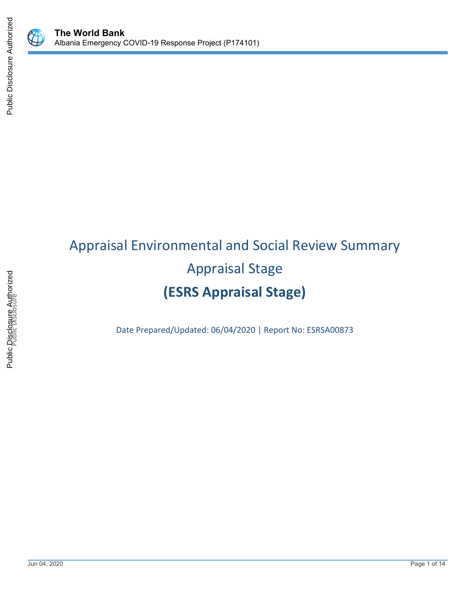

Public Disclosure Authorized

Public Disclosure Authorized

# Appraisal Environmental and Social Review Summary Appraisal Stage **(ESRS Appraisal Stage)**

Date Prepared/Updated: 06/04/2020 | Report No: ESRSA00873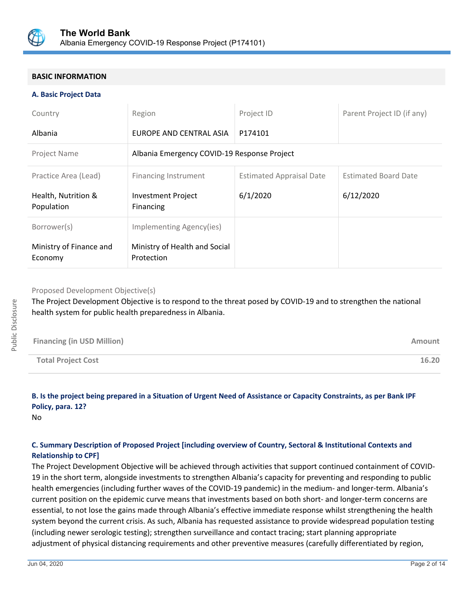

## **BASIC INFORMATION**

#### **A. Basic Project Data**

| Country                            | Region                                      | Project ID                      | Parent Project ID (if any)  |  |
|------------------------------------|---------------------------------------------|---------------------------------|-----------------------------|--|
| Albania                            | EUROPE AND CENTRAL ASIA                     | P174101                         |                             |  |
| Project Name                       | Albania Emergency COVID-19 Response Project |                                 |                             |  |
| Practice Area (Lead)               | Financing Instrument                        | <b>Estimated Appraisal Date</b> | <b>Estimated Board Date</b> |  |
| Health, Nutrition &<br>Population  | <b>Investment Project</b><br>Financing      | 6/1/2020                        | 6/12/2020                   |  |
| Borrower(s)                        | Implementing Agency(ies)                    |                                 |                             |  |
| Ministry of Finance and<br>Economy | Ministry of Health and Social<br>Protection |                                 |                             |  |

#### Proposed Development Objective(s)

The Project Development Objective is to respond to the threat posed by COVID-19 and to strengthen the national health system for public health preparedness in Albania.

| <b>Financing (in USD Million)</b> | Amount |
|-----------------------------------|--------|
| <b>Total Project Cost</b>         | 16.20  |

## **B. Is the project being prepared in a Situation of Urgent Need of Assistance or Capacity Constraints, as per Bank IPF Policy, para. 12?**

No

## **C. Summary Description of Proposed Project [including overview of Country, Sectoral & Institutional Contexts and Relationship to CPF]**

The Project Development Objective will be achieved through activities that support continued containment of COVID-19 in the short term, alongside investments to strengthen Albania's capacity for preventing and responding to public health emergencies (including further waves of the COVID-19 pandemic) in the medium- and longer-term. Albania's current position on the epidemic curve means that investments based on both short- and longer-term concerns are essential, to not lose the gains made through Albania's effective immediate response whilst strengthening the health system beyond the current crisis. As such, Albania has requested assistance to provide widespread population testing (including newer serologic testing); strengthen surveillance and contact tracing; start planning appropriate adjustment of physical distancing requirements and other preventive measures (carefully differentiated by region,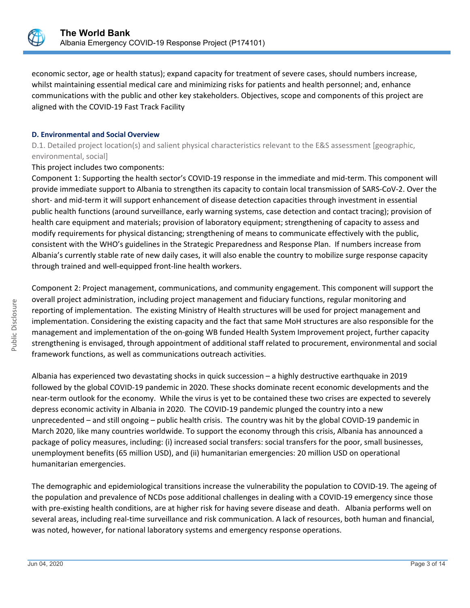

economic sector, age or health status); expand capacity for treatment of severe cases, should numbers increase, whilst maintaining essential medical care and minimizing risks for patients and health personnel; and, enhance communications with the public and other key stakeholders. Objectives, scope and components of this project are aligned with the COVID-19 Fast Track Facility

#### **D. Environmental and Social Overview**

D.1. Detailed project location(s) and salient physical characteristics relevant to the E&S assessment [geographic, environmental, social]

This project includes two components:

Component 1: Supporting the health sector's COVID-19 response in the immediate and mid-term. This component will provide immediate support to Albania to strengthen its capacity to contain local transmission of SARS-CoV-2. Over the short- and mid-term it will support enhancement of disease detection capacities through investment in essential public health functions (around surveillance, early warning systems, case detection and contact tracing); provision of health care equipment and materials; provision of laboratory equipment; strengthening of capacity to assess and modify requirements for physical distancing; strengthening of means to communicate effectively with the public, consistent with the WHO's guidelines in the Strategic Preparedness and Response Plan. If numbers increase from Albania's currently stable rate of new daily cases, it will also enable the country to mobilize surge response capacity through trained and well-equipped front-line health workers.

Component 2: Project management, communications, and community engagement. This component will support the overall project administration, including project management and fiduciary functions, regular monitoring and reporting of implementation. The existing Ministry of Health structures will be used for project management and implementation. Considering the existing capacity and the fact that same MoH structures are also responsible for the management and implementation of the on-going WB funded Health System Improvement project, further capacity strengthening is envisaged, through appointment of additional staff related to procurement, environmental and social framework functions, as well as communications outreach activities.

Albania has experienced two devastating shocks in quick succession – a highly destructive earthquake in 2019 followed by the global COVID-19 pandemic in 2020. These shocks dominate recent economic developments and the near-term outlook for the economy. While the virus is yet to be contained these two crises are expected to severely depress economic activity in Albania in 2020. The COVID-19 pandemic plunged the country into a new unprecedented – and still ongoing – public health crisis. The country was hit by the global COVID-19 pandemic in March 2020, like many countries worldwide. To support the economy through this crisis, Albania has announced a package of policy measures, including: (i) increased social transfers: social transfers for the poor, small businesses, unemployment benefits (65 million USD), and (ii) humanitarian emergencies: 20 million USD on operational humanitarian emergencies.

The demographic and epidemiological transitions increase the vulnerability the population to COVID-19. The ageing of the population and prevalence of NCDs pose additional challenges in dealing with a COVID-19 emergency since those with pre-existing health conditions, are at higher risk for having severe disease and death. Albania performs well on several areas, including real-time surveillance and risk communication. A lack of resources, both human and financial, was noted, however, for national laboratory systems and emergency response operations.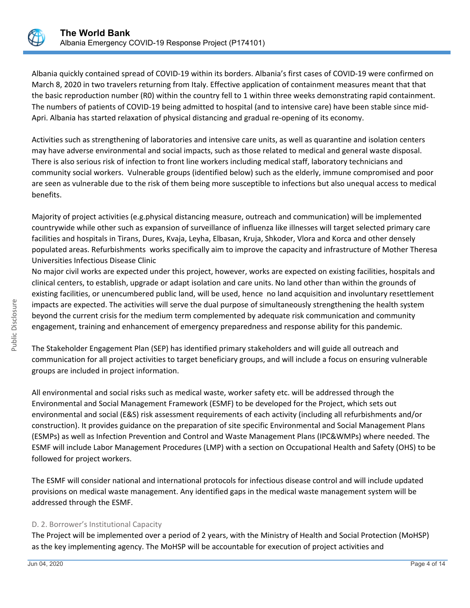

Albania quickly contained spread of COVID-19 within its borders. Albania's first cases of COVID-19 were confirmed on March 8, 2020 in two travelers returning from Italy. Effective application of containment measures meant that that the basic reproduction number (R0) within the country fell to 1 within three weeks demonstrating rapid containment. The numbers of patients of COVID-19 being admitted to hospital (and to intensive care) have been stable since mid-Apri. Albania has started relaxation of physical distancing and gradual re-opening of its economy.

Activities such as strengthening of laboratories and intensive care units, as well as quarantine and isolation centers may have adverse environmental and social impacts, such as those related to medical and general waste disposal. There is also serious risk of infection to front line workers including medical staff, laboratory technicians and community social workers. Vulnerable groups (identified below) such as the elderly, immune compromised and poor are seen as vulnerable due to the risk of them being more susceptible to infections but also unequal access to medical benefits.

Majority of project activities (e.g.physical distancing measure, outreach and communication) will be implemented countrywide while other such as expansion of surveillance of influenza like illnesses will target selected primary care facilities and hospitals in Tirans, Dures, Kvaja, Leyha, Elbasan, Kruja, Shkoder, Vlora and Korca and other densely populated areas. Refurbishments works specifically aim to improve the capacity and infrastructure of Mother Theresa Universities Infectious Disease Clinic

No major civil works are expected under this project, however, works are expected on existing facilities, hospitals and clinical centers, to establish, upgrade or adapt isolation and care units. No land other than within the grounds of existing facilities, or unencumbered public land, will be used, hence no land acquisition and involuntary resettlement impacts are expected. The activities will serve the dual purpose of simultaneously strengthening the health system beyond the current crisis for the medium term complemented by adequate risk communication and community engagement, training and enhancement of emergency preparedness and response ability for this pandemic.

The Stakeholder Engagement Plan (SEP) has identified primary stakeholders and will guide all outreach and communication for all project activities to target beneficiary groups, and will include a focus on ensuring vulnerable groups are included in project information.

All environmental and social risks such as medical waste, worker safety etc. will be addressed through the Environmental and Social Management Framework (ESMF) to be developed for the Project, which sets out environmental and social (E&S) risk assessment requirements of each activity (including all refurbishments and/or construction). It provides guidance on the preparation of site specific Environmental and Social Management Plans (ESMPs) as well as Infection Prevention and Control and Waste Management Plans (IPC&WMPs) where needed. The ESMF will include Labor Management Procedures (LMP) with a section on Occupational Health and Safety (OHS) to be followed for project workers.

The ESMF will consider national and international protocols for infectious disease control and will include updated provisions on medical waste management. Any identified gaps in the medical waste management system will be addressed through the ESMF.

## D. 2. Borrower's Institutional Capacity

The Project will be implemented over a period of 2 years, with the Ministry of Health and Social Protection (MoHSP) as the key implementing agency. The MoHSP will be accountable for execution of project activities and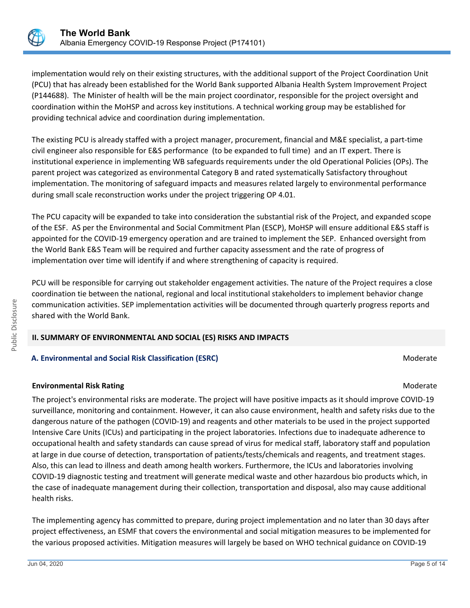

implementation would rely on their existing structures, with the additional support of the Project Coordination Unit (PCU) that has already been established for the World Bank supported Albania Health System Improvement Project (P144688). The Minister of health will be the main project coordinator, responsible for the project oversight and coordination within the MoHSP and across key institutions. A technical working group may be established for providing technical advice and coordination during implementation.

The existing PCU is already staffed with a project manager, procurement, financial and M&E specialist, a part-time civil engineer also responsible for E&S performance (to be expanded to full time) and an IT expert. There is institutional experience in implementing WB safeguards requirements under the old Operational Policies (OPs). The parent project was categorized as environmental Category B and rated systematically Satisfactory throughout implementation. The monitoring of safeguard impacts and measures related largely to environmental performance during small scale reconstruction works under the project triggering OP 4.01.

The PCU capacity will be expanded to take into consideration the substantial risk of the Project, and expanded scope of the ESF. AS per the Environmental and Social Commitment Plan (ESCP), MoHSP will ensure additional E&S staff is appointed for the COVID-19 emergency operation and are trained to implement the SEP. Enhanced oversight from the World Bank E&S Team will be required and further capacity assessment and the rate of progress of implementation over time will identify if and where strengthening of capacity is required.

PCU will be responsible for carrying out stakeholder engagement activities. The nature of the Project requires a close coordination tie between the national, regional and local institutional stakeholders to implement behavior change communication activities. SEP implementation activities will be documented through quarterly progress reports and shared with the World Bank.

## **II. SUMMARY OF ENVIRONMENTAL AND SOCIAL (ES) RISKS AND IMPACTS**

## **A. Environmental and Social Risk Classification (ESRC) Moderate Social Analysis and Social Risk Classification (ESRC)**

## **Environmental Risk Rating Moderate School School School School School School School School School School School School School School School School School School School School School School School School School School Scho**

The project's environmental risks are moderate. The project will have positive impacts as it should improve COVID-19 surveillance, monitoring and containment. However, it can also cause environment, health and safety risks due to the dangerous nature of the pathogen (COVID-19) and reagents and other materials to be used in the project supported Intensive Care Units (ICUs) and participating in the project laboratories. Infections due to inadequate adherence to occupational health and safety standards can cause spread of virus for medical staff, laboratory staff and population at large in due course of detection, transportation of patients/tests/chemicals and reagents, and treatment stages. Also, this can lead to illness and death among health workers. Furthermore, the ICUs and laboratories involving COVID-19 diagnostic testing and treatment will generate medical waste and other hazardous bio products which, in the case of inadequate management during their collection, transportation and disposal, also may cause additional health risks.

The implementing agency has committed to prepare, during project implementation and no later than 30 days after project effectiveness, an ESMF that covers the environmental and social mitigation measures to be implemented for the various proposed activities. Mitigation measures will largely be based on WHO technical guidance on COVID-19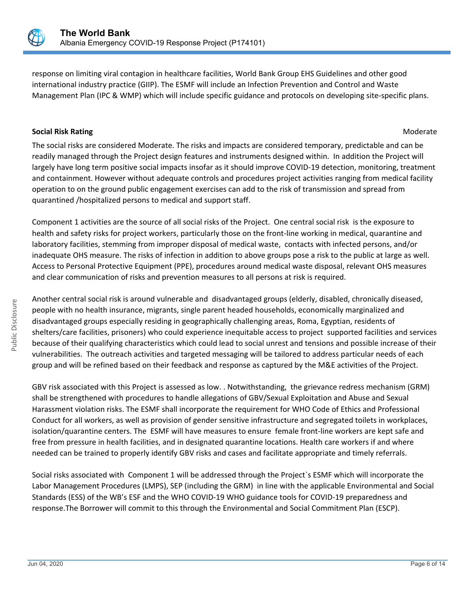

response on limiting viral contagion in healthcare facilities, World Bank Group EHS Guidelines and other good international industry practice (GIIP). The ESMF will include an Infection Prevention and Control and Waste Management Plan (IPC & WMP) which will include specific guidance and protocols on developing site-specific plans.

#### **Social Risk Rating Moderate Social Risk Rating Moderate**  $M$

The social risks are considered Moderate. The risks and impacts are considered temporary, predictable and can be readily managed through the Project design features and instruments designed within. In addition the Project will largely have long term positive social impacts insofar as it should improve COVID-19 detection, monitoring, treatment and containment. However without adequate controls and procedures project activities ranging from medical facility operation to on the ground public engagement exercises can add to the risk of transmission and spread from quarantined /hospitalized persons to medical and support staff.

Component 1 activities are the source of all social risks of the Project. One central social risk is the exposure to health and safety risks for project workers, particularly those on the front-line working in medical, quarantine and laboratory facilities, stemming from improper disposal of medical waste, contacts with infected persons, and/or inadequate OHS measure. The risks of infection in addition to above groups pose a risk to the public at large as well. Access to Personal Protective Equipment (PPE), procedures around medical waste disposal, relevant OHS measures and clear communication of risks and prevention measures to all persons at risk is required.

Another central social risk is around vulnerable and disadvantaged groups (elderly, disabled, chronically diseased, people with no health insurance, migrants, single parent headed households, economically marginalized and disadvantaged groups especially residing in geographically challenging areas, Roma, Egyptian, residents of shelters/care facilities, prisoners) who could experience inequitable access to project supported facilities and services because of their qualifying characteristics which could lead to social unrest and tensions and possible increase of their vulnerabilities. The outreach activities and targeted messaging will be tailored to address particular needs of each group and will be refined based on their feedback and response as captured by the M&E activities of the Project.

GBV risk associated with this Project is assessed as low. . Notwithstanding, the grievance redress mechanism (GRM) shall be strengthened with procedures to handle allegations of GBV/Sexual Exploitation and Abuse and Sexual Harassment violation risks. The ESMF shall incorporate the requirement for WHO Code of Ethics and Professional Conduct for all workers, as well as provision of gender sensitive infrastructure and segregated toilets in workplaces, isolation/quarantine centers. The ESMF will have measures to ensure female front-line workers are kept safe and free from pressure in health facilities, and in designated quarantine locations. Health care workers if and where needed can be trained to properly identify GBV risks and cases and facilitate appropriate and timely referrals.

Social risks associated with Component 1 will be addressed through the Project`s ESMF which will incorporate the Labor Management Procedures (LMPS), SEP (including the GRM) in line with the applicable Environmental and Social Standards (ESS) of the WB's ESF and the WHO COVID-19 WHO guidance tools for COVID-19 preparedness and response.The Borrower will commit to this through the Environmental and Social Commitment Plan (ESCP).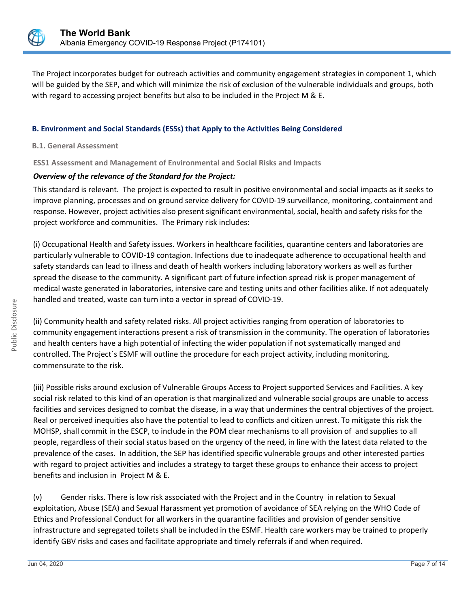

The Project incorporates budget for outreach activities and community engagement strategies in component 1, which will be guided by the SEP, and which will minimize the risk of exclusion of the vulnerable individuals and groups, both with regard to accessing project benefits but also to be included in the Project M & E.

## **B. Environment and Social Standards (ESSs) that Apply to the Activities Being Considered**

#### **B.1. General Assessment**

**ESS1 Assessment and Management of Environmental and Social Risks and Impacts**

#### *Overview of the relevance of the Standard for the Project:*

This standard is relevant. The project is expected to result in positive environmental and social impacts as it seeks to improve planning, processes and on ground service delivery for COVID-19 surveillance, monitoring, containment and response. However, project activities also present significant environmental, social, health and safety risks for the project workforce and communities. The Primary risk includes:

(i) Occupational Health and Safety issues. Workers in healthcare facilities, quarantine centers and laboratories are particularly vulnerable to COVID-19 contagion. Infections due to inadequate adherence to occupational health and safety standards can lead to illness and death of health workers including laboratory workers as well as further spread the disease to the community. A significant part of future infection spread risk is proper management of medical waste generated in laboratories, intensive care and testing units and other facilities alike. If not adequately handled and treated, waste can turn into a vector in spread of COVID-19.

(ii) Community health and safety related risks. All project activities ranging from operation of laboratories to community engagement interactions present a risk of transmission in the community. The operation of laboratories and health centers have a high potential of infecting the wider population if not systematically manged and controlled. The Project`s ESMF will outline the procedure for each project activity, including monitoring, commensurate to the risk.

(iii) Possible risks around exclusion of Vulnerable Groups Access to Project supported Services and Facilities. A key social risk related to this kind of an operation is that marginalized and vulnerable social groups are unable to access facilities and services designed to combat the disease, in a way that undermines the central objectives of the project. Real or perceived inequities also have the potential to lead to conflicts and citizen unrest. To mitigate this risk the MOHSP, shall commit in the ESCP, to include in the POM clear mechanisms to all provision of and supplies to all people, regardless of their social status based on the urgency of the need, in line with the latest data related to the prevalence of the cases. In addition, the SEP has identified specific vulnerable groups and other interested parties with regard to project activities and includes a strategy to target these groups to enhance their access to project benefits and inclusion in Project M & E.

(v) Gender risks. There is low risk associated with the Project and in the Country in relation to Sexual exploitation, Abuse (SEA) and Sexual Harassment yet promotion of avoidance of SEA relying on the WHO Code of Ethics and Professional Conduct for all workers in the quarantine facilities and provision of gender sensitive infrastructure and segregated toilets shall be included in the ESMF. Health care workers may be trained to properly identify GBV risks and cases and facilitate appropriate and timely referrals if and when required.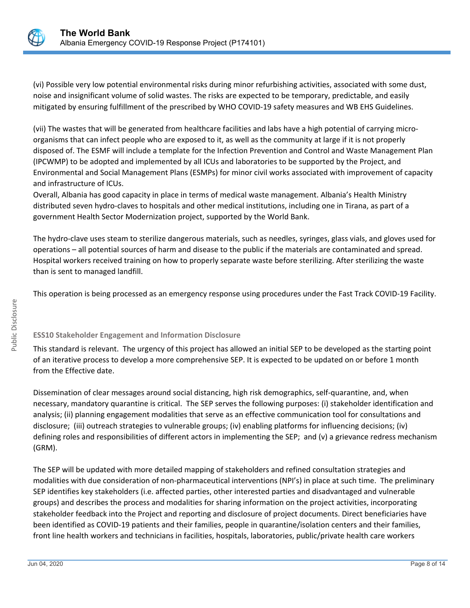

(vi) Possible very low potential environmental risks during minor refurbishing activities, associated with some dust, noise and insignificant volume of solid wastes. The risks are expected to be temporary, predictable, and easily mitigated by ensuring fulfillment of the prescribed by WHO COVID-19 safety measures and WB EHS Guidelines.

(vii) The wastes that will be generated from healthcare facilities and labs have a high potential of carrying microorganisms that can infect people who are exposed to it, as well as the community at large if it is not properly disposed of. The ESMF will include a template for the Infection Prevention and Control and Waste Management Plan (IPCWMP) to be adopted and implemented by all ICUs and laboratories to be supported by the Project, and Environmental and Social Management Plans (ESMPs) for minor civil works associated with improvement of capacity and infrastructure of ICUs.

Overall, Albania has good capacity in place in terms of medical waste management. Albania's Health Ministry distributed seven hydro-claves to hospitals and other medical institutions, including one in Tirana, as part of a government Health Sector Modernization project, supported by the World Bank.

The hydro-clave uses steam to sterilize dangerous materials, such as needles, syringes, glass vials, and gloves used for operations – all potential sources of harm and disease to the public if the materials are contaminated and spread. Hospital workers received training on how to properly separate waste before sterilizing. After sterilizing the waste than is sent to managed landfill.

This operation is being processed as an emergency response using procedures under the Fast Track COVID-19 Facility.

## **ESS10 Stakeholder Engagement and Information Disclosure**

This standard is relevant. The urgency of this project has allowed an initial SEP to be developed as the starting point of an iterative process to develop a more comprehensive SEP. It is expected to be updated on or before 1 month from the Effective date.

Dissemination of clear messages around social distancing, high risk demographics, self-quarantine, and, when necessary, mandatory quarantine is critical. The SEP serves the following purposes: (i) stakeholder identification and analysis; (ii) planning engagement modalities that serve as an effective communication tool for consultations and disclosure; (iii) outreach strategies to vulnerable groups; (iv) enabling platforms for influencing decisions; (iv) defining roles and responsibilities of different actors in implementing the SEP; and (v) a grievance redress mechanism (GRM).

The SEP will be updated with more detailed mapping of stakeholders and refined consultation strategies and modalities with due consideration of non-pharmaceutical interventions (NPI's) in place at such time. The preliminary SEP identifies key stakeholders (i.e. affected parties, other interested parties and disadvantaged and vulnerable groups) and describes the process and modalities for sharing information on the project activities, incorporating stakeholder feedback into the Project and reporting and disclosure of project documents. Direct beneficiaries have been identified as COVID-19 patients and their families, people in quarantine/isolation centers and their families, front line health workers and technicians in facilities, hospitals, laboratories, public/private health care workers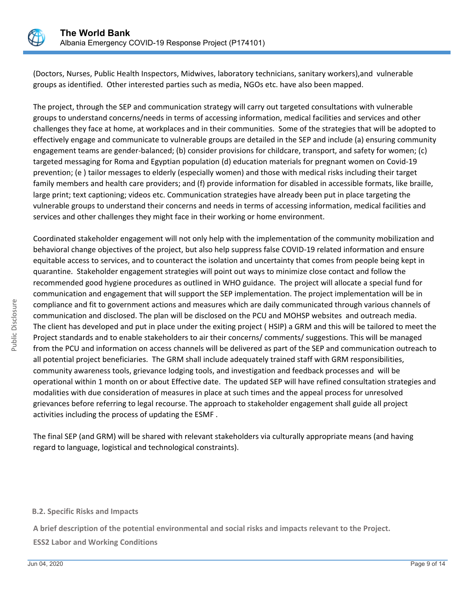

(Doctors, Nurses, Public Health Inspectors, Midwives, laboratory technicians, sanitary workers),and vulnerable groups as identified. Other interested parties such as media, NGOs etc. have also been mapped.

The project, through the SEP and communication strategy will carry out targeted consultations with vulnerable groups to understand concerns/needs in terms of accessing information, medical facilities and services and other challenges they face at home, at workplaces and in their communities. Some of the strategies that will be adopted to effectively engage and communicate to vulnerable groups are detailed in the SEP and include (a) ensuring community engagement teams are gender-balanced; (b) consider provisions for childcare, transport, and safety for women; (c) targeted messaging for Roma and Egyptian population (d) education materials for pregnant women on Covid-19 prevention; (e ) tailor messages to elderly (especially women) and those with medical risks including their target family members and health care providers; and (f) provide information for disabled in accessible formats, like braille, large print; text captioning; videos etc. Communication strategies have already been put in place targeting the vulnerable groups to understand their concerns and needs in terms of accessing information, medical facilities and services and other challenges they might face in their working or home environment.

Coordinated stakeholder engagement will not only help with the implementation of the community mobilization and behavioral change objectives of the project, but also help suppress false COVID-19 related information and ensure equitable access to services, and to counteract the isolation and uncertainty that comes from people being kept in quarantine. Stakeholder engagement strategies will point out ways to minimize close contact and follow the recommended good hygiene procedures as outlined in WHO guidance. The project will allocate a special fund for communication and engagement that will support the SEP implementation. The project implementation will be in compliance and fit to government actions and measures which are daily communicated through various channels of communication and disclosed. The plan will be disclosed on the PCU and MOHSP websites and outreach media. The client has developed and put in place under the exiting project ( HSIP) a GRM and this will be tailored to meet the Project standards and to enable stakeholders to air their concerns/ comments/ suggestions. This will be managed from the PCU and information on access channels will be delivered as part of the SEP and communication outreach to all potential project beneficiaries. The GRM shall include adequately trained staff with GRM responsibilities, community awareness tools, grievance lodging tools, and investigation and feedback processes and will be operational within 1 month on or about Effective date. The updated SEP will have refined consultation strategies and modalities with due consideration of measures in place at such times and the appeal process for unresolved grievances before referring to legal recourse. The approach to stakeholder engagement shall guide all project activities including the process of updating the ESMF .

The final SEP (and GRM) will be shared with relevant stakeholders via culturally appropriate means (and having regard to language, logistical and technological constraints).

#### **B.2. Specific Risks and Impacts**

**A brief description of the potential environmental and social risks and impacts relevant to the Project.**

**ESS2 Labor and Working Conditions**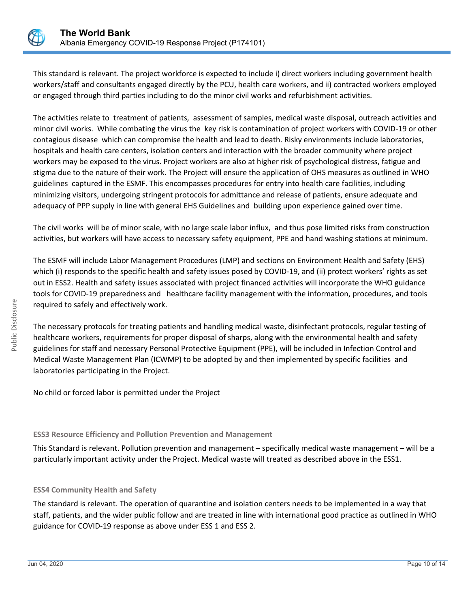

This standard is relevant. The project workforce is expected to include i) direct workers including government health workers/staff and consultants engaged directly by the PCU, health care workers, and ii) contracted workers employed or engaged through third parties including to do the minor civil works and refurbishment activities.

The activities relate to treatment of patients, assessment of samples, medical waste disposal, outreach activities and minor civil works. While combating the virus the key risk is contamination of project workers with COVID-19 or other contagious disease which can compromise the health and lead to death. Risky environments include laboratories, hospitals and health care centers, isolation centers and interaction with the broader community where project workers may be exposed to the virus. Project workers are also at higher risk of psychological distress, fatigue and stigma due to the nature of their work. The Project will ensure the application of OHS measures as outlined in WHO guidelines captured in the ESMF. This encompasses procedures for entry into health care facilities, including minimizing visitors, undergoing stringent protocols for admittance and release of patients, ensure adequate and adequacy of PPP supply in line with general EHS Guidelines and building upon experience gained over time.

The civil works will be of minor scale, with no large scale labor influx, and thus pose limited risks from construction activities, but workers will have access to necessary safety equipment, PPE and hand washing stations at minimum.

The ESMF will include Labor Management Procedures (LMP) and sections on Environment Health and Safety (EHS) which (i) responds to the specific health and safety issues posed by COVID-19, and (ii) protect workers' rights as set out in ESS2. Health and safety issues associated with project financed activities will incorporate the WHO guidance tools for COVID-19 preparedness and healthcare facility management with the information, procedures, and tools required to safely and effectively work.

The necessary protocols for treating patients and handling medical waste, disinfectant protocols, regular testing of healthcare workers, requirements for proper disposal of sharps, along with the environmental health and safety guidelines for staff and necessary Personal Protective Equipment (PPE), will be included in Infection Control and Medical Waste Management Plan (ICWMP) to be adopted by and then implemented by specific facilities and laboratories participating in the Project.

No child or forced labor is permitted under the Project

## **ESS3 Resource Efficiency and Pollution Prevention and Management**

This Standard is relevant. Pollution prevention and management – specifically medical waste management – will be a particularly important activity under the Project. Medical waste will treated as described above in the ESS1.

## **ESS4 Community Health and Safety**

The standard is relevant. The operation of quarantine and isolation centers needs to be implemented in a way that staff, patients, and the wider public follow and are treated in line with international good practice as outlined in WHO guidance for COVID-19 response as above under ESS 1 and ESS 2.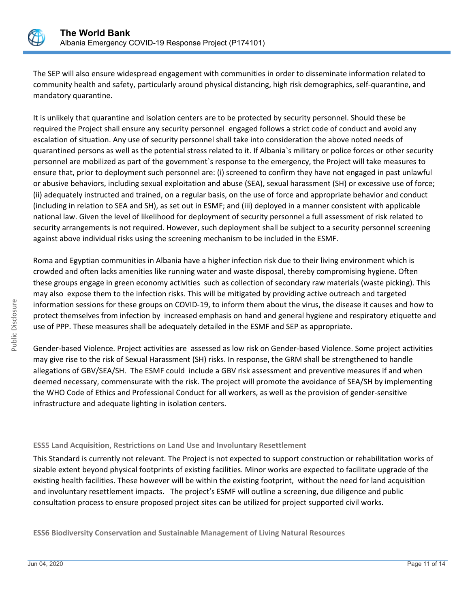

The SEP will also ensure widespread engagement with communities in order to disseminate information related to community health and safety, particularly around physical distancing, high risk demographics, self-quarantine, and mandatory quarantine.

It is unlikely that quarantine and isolation centers are to be protected by security personnel. Should these be required the Project shall ensure any security personnel engaged follows a strict code of conduct and avoid any escalation of situation. Any use of security personnel shall take into consideration the above noted needs of quarantined persons as well as the potential stress related to it. If Albania`s military or police forces or other security personnel are mobilized as part of the government`s response to the emergency, the Project will take measures to ensure that, prior to deployment such personnel are: (i) screened to confirm they have not engaged in past unlawful or abusive behaviors, including sexual exploitation and abuse (SEA), sexual harassment (SH) or excessive use of force; (ii) adequately instructed and trained, on a regular basis, on the use of force and appropriate behavior and conduct (including in relation to SEA and SH), as set out in ESMF; and (iii) deployed in a manner consistent with applicable national law. Given the level of likelihood for deployment of security personnel a full assessment of risk related to security arrangements is not required. However, such deployment shall be subject to a security personnel screening against above individual risks using the screening mechanism to be included in the ESMF.

Roma and Egyptian communities in Albania have a higher infection risk due to their living environment which is crowded and often lacks amenities like running water and waste disposal, thereby compromising hygiene. Often these groups engage in green economy activities such as collection of secondary raw materials (waste picking). This may also expose them to the infection risks. This will be mitigated by providing active outreach and targeted information sessions for these groups on COVID-19, to inform them about the virus, the disease it causes and how to protect themselves from infection by increased emphasis on hand and general hygiene and respiratory etiquette and use of PPP. These measures shall be adequately detailed in the ESMF and SEP as appropriate.

Gender-based Violence. Project activities are assessed as low risk on Gender-based Violence. Some project activities may give rise to the risk of Sexual Harassment (SH) risks. In response, the GRM shall be strengthened to handle allegations of GBV/SEA/SH. The ESMF could include a GBV risk assessment and preventive measures if and when deemed necessary, commensurate with the risk. The project will promote the avoidance of SEA/SH by implementing the WHO Code of Ethics and Professional Conduct for all workers, as well as the provision of gender-sensitive infrastructure and adequate lighting in isolation centers.

## **ESS5 Land Acquisition, Restrictions on Land Use and Involuntary Resettlement**

This Standard is currently not relevant. The Project is not expected to support construction or rehabilitation works of sizable extent beyond physical footprints of existing facilities. Minor works are expected to facilitate upgrade of the existing health facilities. These however will be within the existing footprint, without the need for land acquisition and involuntary resettlement impacts. The project's ESMF will outline a screening, due diligence and public consultation process to ensure proposed project sites can be utilized for project supported civil works.

**ESS6 Biodiversity Conservation and Sustainable Management of Living Natural Resources**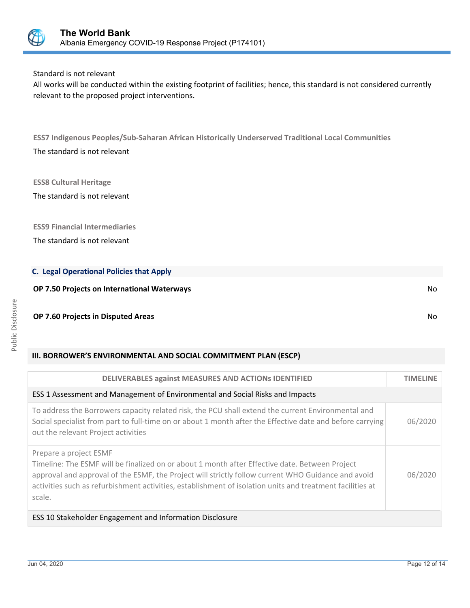

## Standard is not relevant

All works will be conducted within the existing footprint of facilities; hence, this standard is not considered currently relevant to the proposed project interventions.

**ESS7 Indigenous Peoples/Sub-Saharan African Historically Underserved Traditional Local Communities** The standard is not relevant

**ESS8 Cultural Heritage**

The standard is not relevant

**ESS9 Financial Intermediaries**

The standard is not relevant

#### **C. Legal Operational Policies that Apply**

**OP 7.50 Projects on International Waterways** No

#### **OP 7.60 Projects in Disputed Areas** No

#### **III. BORROWER'S ENVIRONMENTAL AND SOCIAL COMMITMENT PLAN (ESCP)**

| <b>DELIVERABLES against MEASURES AND ACTIONS IDENTIFIED</b>                                                                                                                                                                                                                                                                                           | <b>TIMELINE</b> |  |  |
|-------------------------------------------------------------------------------------------------------------------------------------------------------------------------------------------------------------------------------------------------------------------------------------------------------------------------------------------------------|-----------------|--|--|
| ESS 1 Assessment and Management of Environmental and Social Risks and Impacts                                                                                                                                                                                                                                                                         |                 |  |  |
| To address the Borrowers capacity related risk, the PCU shall extend the current Environmental and<br>Social specialist from part to full-time on or about 1 month after the Effective date and before carrying<br>out the relevant Project activities                                                                                                | 06/2020         |  |  |
| Prepare a project ESMF<br>Timeline: The ESMF will be finalized on or about 1 month after Effective date. Between Project<br>approval and approval of the ESMF, the Project will strictly follow current WHO Guidance and avoid<br>activities such as refurbishment activities, establishment of isolation units and treatment facilities at<br>scale. | 06/2020         |  |  |
| ESS 10 Stakeholder Engagement and Information Disclosure                                                                                                                                                                                                                                                                                              |                 |  |  |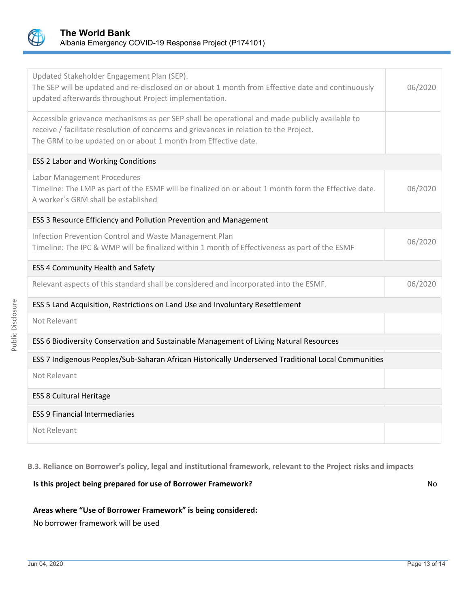

| Updated Stakeholder Engagement Plan (SEP).<br>The SEP will be updated and re-disclosed on or about 1 month from Effective date and continuously<br>updated afterwards throughout Project implementation.                                                   | 06/2020 |  |  |  |
|------------------------------------------------------------------------------------------------------------------------------------------------------------------------------------------------------------------------------------------------------------|---------|--|--|--|
| Accessible grievance mechanisms as per SEP shall be operational and made publicly available to<br>receive / facilitate resolution of concerns and grievances in relation to the Project.<br>The GRM to be updated on or about 1 month from Effective date. |         |  |  |  |
| <b>ESS 2 Labor and Working Conditions</b>                                                                                                                                                                                                                  |         |  |  |  |
| Labor Management Procedures<br>Timeline: The LMP as part of the ESMF will be finalized on or about 1 month form the Effective date.<br>A worker's GRM shall be established                                                                                 |         |  |  |  |
| ESS 3 Resource Efficiency and Pollution Prevention and Management                                                                                                                                                                                          |         |  |  |  |
| Infection Prevention Control and Waste Management Plan<br>Timeline: The IPC & WMP will be finalized within 1 month of Effectiveness as part of the ESMF                                                                                                    | 06/2020 |  |  |  |
| ESS 4 Community Health and Safety                                                                                                                                                                                                                          |         |  |  |  |
| Relevant aspects of this standard shall be considered and incorporated into the ESMF.                                                                                                                                                                      | 06/2020 |  |  |  |
| ESS 5 Land Acquisition, Restrictions on Land Use and Involuntary Resettlement                                                                                                                                                                              |         |  |  |  |
| Not Relevant                                                                                                                                                                                                                                               |         |  |  |  |
| ESS 6 Biodiversity Conservation and Sustainable Management of Living Natural Resources                                                                                                                                                                     |         |  |  |  |
| ESS 7 Indigenous Peoples/Sub-Saharan African Historically Underserved Traditional Local Communities                                                                                                                                                        |         |  |  |  |
| Not Relevant                                                                                                                                                                                                                                               |         |  |  |  |
| <b>ESS 8 Cultural Heritage</b>                                                                                                                                                                                                                             |         |  |  |  |
| <b>ESS 9 Financial Intermediaries</b>                                                                                                                                                                                                                      |         |  |  |  |
| Not Relevant                                                                                                                                                                                                                                               |         |  |  |  |

**B.3. Reliance on Borrower's policy, legal and institutional framework, relevant to the Project risks and impacts**

## **Is this project being prepared for use of Borrower Framework?** No

#### **Areas where "Use of Borrower Framework" is being considered:**

No borrower framework will be used